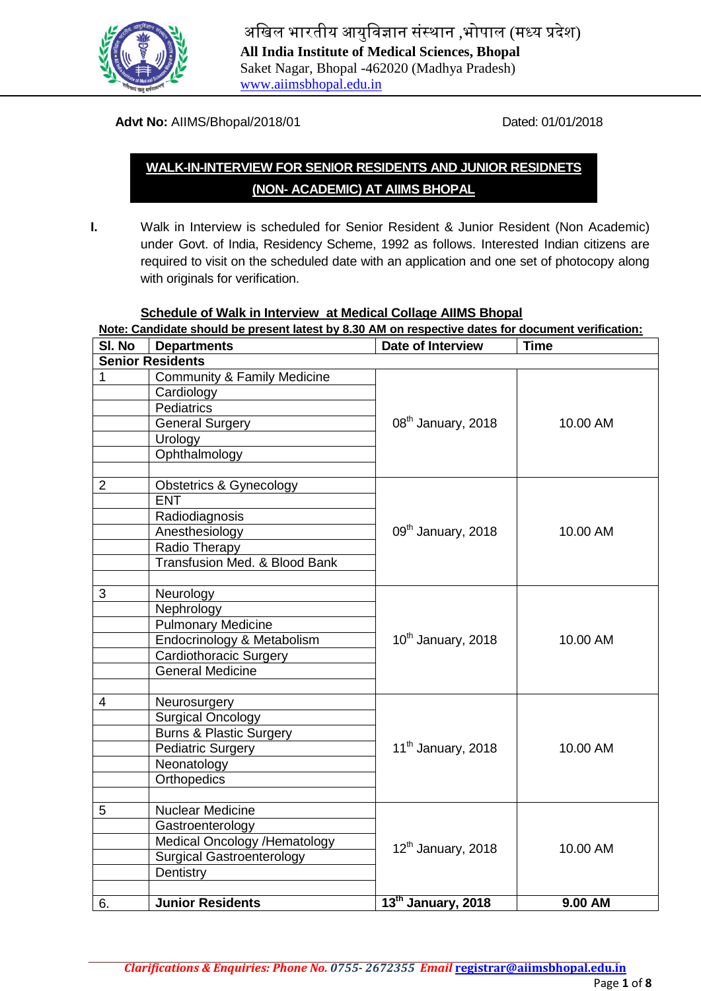

अखिल भारतीय आयुखिज्ञान संस्थान ,भोपाल (मध्य प्रदेश) **All India Institute of Medical Sciences, Bhopal** Saket Nagar, Bhopal -462020 (Madhya Pradesh) [www.aiimsbhopal.edu.in](http://www.aiimsbhopal.edu.in/)

#### **Advt No:** AIIMS/Bhopal/2018/01 Dated: 01/01/2018

# **WALK-IN-INTERVIEW FOR SENIOR RESIDENTS AND JUNIOR RESIDNETS (NON- ACADEMIC) AT AIIMS BHOPAL**

- 
- **I.** Walk in Interview is scheduled for Senior Resident & Junior Resident (Non Academic) under Govt. of India, Residency Scheme, 1992 as follows. Interested Indian citizens are required to visit on the scheduled date with an application and one set of photocopy along with originals for verification.

#### **Schedule of Walk in Interview at Medical Collage AIIMS Bhopal**

| Note: Candidate should be present latest by 8.30 AM on respective dates for document verification: |                                        |                                |             |  |
|----------------------------------------------------------------------------------------------------|----------------------------------------|--------------------------------|-------------|--|
| SI. No                                                                                             | <b>Departments</b>                     | <b>Date of Interview</b>       | <b>Time</b> |  |
|                                                                                                    | <b>Senior Residents</b>                |                                |             |  |
| 1                                                                                                  | <b>Community &amp; Family Medicine</b> |                                |             |  |
|                                                                                                    | Cardiology                             |                                |             |  |
|                                                                                                    | <b>Pediatrics</b>                      |                                |             |  |
|                                                                                                    | <b>General Surgery</b>                 | $08th$ January, 2018           | 10.00 AM    |  |
|                                                                                                    | Urology                                |                                |             |  |
|                                                                                                    | Ophthalmology                          |                                |             |  |
|                                                                                                    |                                        |                                |             |  |
| $\overline{2}$                                                                                     | <b>Obstetrics &amp; Gynecology</b>     |                                |             |  |
|                                                                                                    | <b>ENT</b>                             |                                |             |  |
|                                                                                                    | Radiodiagnosis                         |                                |             |  |
|                                                                                                    | Anesthesiology                         | 09 <sup>th</sup> January, 2018 | 10.00 AM    |  |
|                                                                                                    | Radio Therapy                          |                                |             |  |
|                                                                                                    | Transfusion Med. & Blood Bank          |                                |             |  |
|                                                                                                    |                                        |                                |             |  |
| 3                                                                                                  | Neurology                              |                                | 10.00 AM    |  |
|                                                                                                    | Nephrology                             |                                |             |  |
|                                                                                                    | <b>Pulmonary Medicine</b>              |                                |             |  |
|                                                                                                    | Endocrinology & Metabolism             | 10 <sup>th</sup> January, 2018 |             |  |
|                                                                                                    | <b>Cardiothoracic Surgery</b>          |                                |             |  |
|                                                                                                    | <b>General Medicine</b>                |                                |             |  |
|                                                                                                    |                                        |                                |             |  |
| 4                                                                                                  | Neurosurgery                           |                                |             |  |
|                                                                                                    | <b>Surgical Oncology</b>               |                                |             |  |
|                                                                                                    | <b>Burns &amp; Plastic Surgery</b>     |                                |             |  |
|                                                                                                    | <b>Pediatric Surgery</b>               | 11 <sup>th</sup> January, 2018 | 10.00 AM    |  |
|                                                                                                    | Neonatology                            |                                |             |  |
|                                                                                                    | <b>Orthopedics</b>                     |                                |             |  |
|                                                                                                    |                                        |                                |             |  |
| 5                                                                                                  | <b>Nuclear Medicine</b>                |                                |             |  |
|                                                                                                    | Gastroenterology                       |                                | 10.00 AM    |  |
|                                                                                                    | Medical Oncology /Hematology           | $12th$ January, 2018           |             |  |
|                                                                                                    | <b>Surgical Gastroenterology</b>       |                                |             |  |
|                                                                                                    | Dentistry                              |                                |             |  |
| 6.                                                                                                 | <b>Junior Residents</b>                | 13 <sup>th</sup> January, 2018 | 9.00 AM     |  |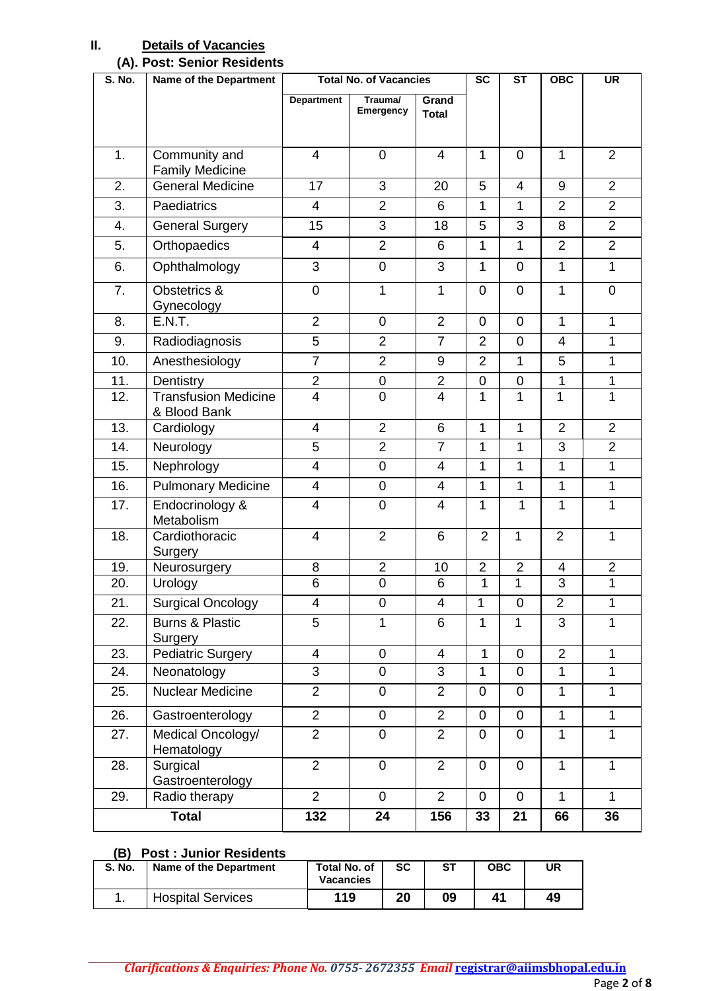## **II. Details of Vacancies**

## **(A). Post: Senior Residents**

| <b>S. No.</b> | <b>Name of the Department</b>               | <b>Total No. of Vacancies</b> |                      |                       | $\overline{sc}$ | $\overline{\text{ST}}$ | OBC                      | <b>UR</b>      |
|---------------|---------------------------------------------|-------------------------------|----------------------|-----------------------|-----------------|------------------------|--------------------------|----------------|
|               |                                             | <b>Department</b>             | Trauma/<br>Emergency | Grand<br><b>Total</b> |                 |                        |                          |                |
| 1.            | Community and<br><b>Family Medicine</b>     | 4                             | $\mathbf 0$          | 4                     | 1               | $\mathbf 0$            | $\mathbf{1}$             | $\overline{2}$ |
| 2.            | General Medicine                            | 17                            | 3                    | 20                    | 5               | $\overline{4}$         | 9                        | $\overline{2}$ |
| 3.            | Paediatrics                                 | 4                             | $\overline{2}$       | 6                     | 1               | 1                      | $\overline{2}$           | $\overline{2}$ |
| 4.            | <b>General Surgery</b>                      | 15                            | 3                    | 18                    | 5               | 3                      | 8                        | $\overline{2}$ |
| 5.            | Orthopaedics                                | 4                             | $\overline{2}$       | 6                     | $\mathbf{1}$    | $\mathbf{1}$           | $\overline{2}$           | $\overline{2}$ |
| 6.            | Ophthalmology                               | 3                             | $\mathbf 0$          | 3                     | $\mathbf{1}$    | $\mathbf 0$            | $\mathbf{1}$             | 1              |
| 7.            | Obstetrics &<br>Gynecology                  | $\mathbf 0$                   | $\mathbf{1}$         | 1                     | $\overline{0}$  | $\overline{0}$         | 1                        | $\mathbf 0$    |
| 8.            | <b>E.N.T.</b>                               | $\overline{2}$                | $\mathbf 0$          | $\overline{2}$        | $\overline{0}$  | $\mathbf 0$            | $\mathbf{1}$             | 1              |
| 9.            | Radiodiagnosis                              | 5                             | $\overline{2}$       | $\overline{7}$        | $\overline{2}$  | $\mathbf 0$            | $\overline{4}$           | 1              |
| 10.           | Anesthesiology                              | $\overline{7}$                | $\overline{2}$       | 9                     | $\overline{2}$  | 1                      | 5                        | 1              |
| 11.           | Dentistry                                   | $\overline{2}$                | $\pmb{0}$            | $\overline{2}$        | $\mathbf 0$     | 0                      | 1                        | 1              |
| 12.           | <b>Transfusion Medicine</b><br>& Blood Bank | $\overline{4}$                | $\overline{0}$       | $\overline{4}$        | 1               | 1                      | 1                        | 1              |
| 13.           | Cardiology                                  | 4                             | $\overline{2}$       | 6                     | $\mathbf{1}$    | $\mathbf{1}$           | $\overline{2}$           | $\overline{2}$ |
| 14.           | Neurology                                   | 5                             | $\overline{2}$       | $\overline{7}$        | 1               | 1                      | 3                        | $\overline{2}$ |
| 15.           | Nephrology                                  | $\overline{4}$                | $\mathsf{O}\xspace$  | 4                     | $\mathbf{1}$    | 1                      | 1                        | 1              |
| 16.           | <b>Pulmonary Medicine</b>                   | $\overline{\mathcal{A}}$      | $\mathbf 0$          | $\overline{4}$        | 1               | $\mathbf{1}$           | $\mathbf{1}$             | 1              |
| 17.           | Endocrinology &<br>Metabolism               | 4                             | $\mathbf 0$          | $\overline{4}$        | 1               | 1                      | $\mathbf{1}$             | 1              |
| 18.           | Cardiothoracic<br>Surgery                   | 4                             | $\overline{2}$       | 6                     | $\overline{2}$  | $\mathbf{1}$           | $\overline{2}$           | 1              |
| 19.           | Neurosurgery                                | 8                             | $\overline{2}$       | 10                    | $\overline{2}$  | $\overline{2}$         | $\overline{\mathcal{A}}$ | $\overline{2}$ |
| 20.           | Urology                                     | 6                             | $\overline{0}$       | 6                     | 1               | 1                      | 3                        | 1              |
| 21.           | <b>Surgical Oncology</b>                    | 4                             | $\pmb{0}$            | 4                     | 1               | 0                      | $\overline{2}$           | 1              |
| 22.           | <b>Burns &amp; Plastic</b><br>Surgery       | 5                             | $\mathbf{1}$         | 6                     | $\mathbf{1}$    | $\mathbf{1}$           | 3                        | 1              |
| 23.           | <b>Pediatric Surgery</b>                    | $\overline{\mathbf{4}}$       | $\overline{0}$       | $\overline{4}$        | $\mathbf{1}$    | $\mathbf 0$            | $\overline{2}$           | $\mathbf{1}$   |
| 24.           | Neonatology                                 | 3                             | 0                    | 3                     | 1               | 0                      | $\mathbf{1}$             | $\mathbf{1}$   |
| 25.           | Nuclear Medicine                            | $\overline{2}$                | 0                    | $\overline{2}$        | $\Omega$        | 0                      | $\mathbf{1}$             | 1              |
| 26.           | Gastroenterology                            | $\overline{2}$                | $\mathbf 0$          | $\overline{2}$        | $\overline{0}$  | 0                      | $\mathbf{1}$             | $\mathbf{1}$   |
| 27.           | Medical Oncology/<br>Hematology             | $\overline{2}$                | 0                    | $\overline{2}$        | $\mathbf 0$     | 0                      | $\mathbf{1}$             | 1              |
| 28.           | Surgical<br>Gastroenterology                | $\overline{2}$                | 0                    | $\overline{2}$        | $\overline{0}$  | $\overline{0}$         | $\mathbf{1}$             | $\mathbf{1}$   |
| 29.           | Radio therapy                               | $\overline{2}$                | $\mathbf 0$          | $\overline{2}$        | $\overline{0}$  | $\mathbf 0$            | $\overline{1}$           | $\mathbf{1}$   |
| <b>Total</b>  |                                             | 132                           | 24                   | 156                   | 33              | 21                     | 66                       | 36             |

#### **(B) Post : Junior Residents**

| S. No. | Name of the Department   | <b>Total No. of</b><br><b>Vacancies</b> | SC | ST | OBC | UR |
|--------|--------------------------|-----------------------------------------|----|----|-----|----|
|        | <b>Hospital Services</b> | 119                                     | 20 | 09 | 41  | 49 |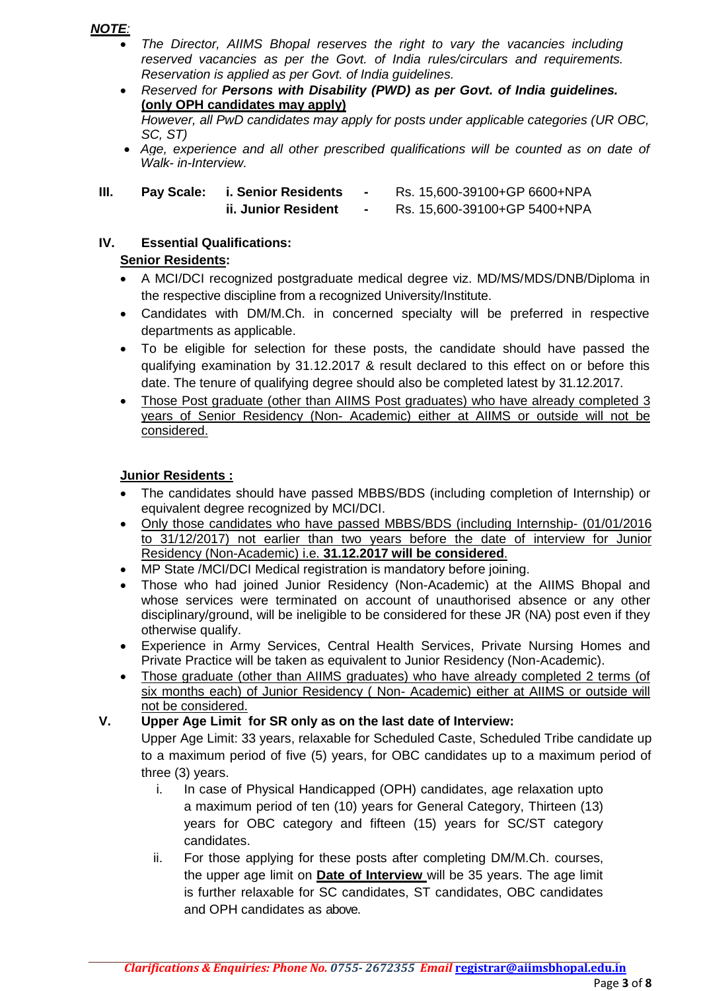## *NOTE:*

- *The Director, AIIMS Bhopal reserves the right to vary the vacancies including reserved vacancies as per the Govt. of India rules/circulars and requirements. Reservation is applied as per Govt. of India guidelines.*
- *Reserved for Persons with Disability (PWD) as per Govt. of India guidelines.*  **(only OPH candidates may apply)** *However, all PwD candidates may apply for posts under applicable categories (UR OBC, SC, ST) Age, experience and all other prescribed qualifications will be counted as on date of*
- *Walk- in-Interview.*

| Ш. | <b>Pay Scale:</b> | i. Senior Residents | Rs. 15,600-39100+GP 6600+NPA |
|----|-------------------|---------------------|------------------------------|
|    |                   | ii. Junior Resident | Rs. 15,600-39100+GP 5400+NPA |

#### **IV. Essential Qualifications: Senior Residents:**

- A MCI/DCI recognized postgraduate medical degree viz. MD/MS/MDS/DNB/Diploma in the respective discipline from a recognized University/Institute.
- Candidates with DM/M.Ch. in concerned specialty will be preferred in respective departments as applicable.
- To be eligible for selection for these posts, the candidate should have passed the qualifying examination by 31.12.2017 & result declared to this effect on or before this date. The tenure of qualifying degree should also be completed latest by 31.12.2017.
- Those Post graduate (other than AIIMS Post graduates) who have already completed 3 years of Senior Residency (Non- Academic) either at AIIMS or outside will not be considered.

## **Junior Residents :**

- The candidates should have passed MBBS/BDS (including completion of Internship) or equivalent degree recognized by MCI/DCI.
- Only those candidates who have passed MBBS/BDS (including Internship- (01/01/2016 to 31/12/2017) not earlier than two years before the date of interview for Junior Residency (Non-Academic) i.e. **31.12.2017 will be considered**.
- MP State /MCI/DCI Medical registration is mandatory before joining.
- Those who had joined Junior Residency (Non-Academic) at the AIIMS Bhopal and whose services were terminated on account of unauthorised absence or any other disciplinary/ground, will be ineligible to be considered for these JR (NA) post even if they otherwise qualify.
- Experience in Army Services, Central Health Services, Private Nursing Homes and Private Practice will be taken as equivalent to Junior Residency (Non-Academic).
- Those graduate (other than AIIMS graduates) who have already completed 2 terms (of six months each) of Junior Residency ( Non- Academic) either at AIIMS or outside will not be considered.
- **V. Upper Age Limit for SR only as on the last date of Interview:**

Upper Age Limit: 33 years, relaxable for Scheduled Caste, Scheduled Tribe candidate up to a maximum period of five (5) years, for OBC candidates up to a maximum period of three (3) years.

- i. In case of Physical Handicapped (OPH) candidates, age relaxation upto a maximum period of ten (10) years for General Category, Thirteen (13) years for OBC category and fifteen (15) years for SC/ST category candidates.
- ii. For those applying for these posts after completing DM/M.Ch. courses, the upper age limit on **Date of Interview** will be 35 years. The age limit is further relaxable for SC candidates, ST candidates, OBC candidates and OPH candidates as above.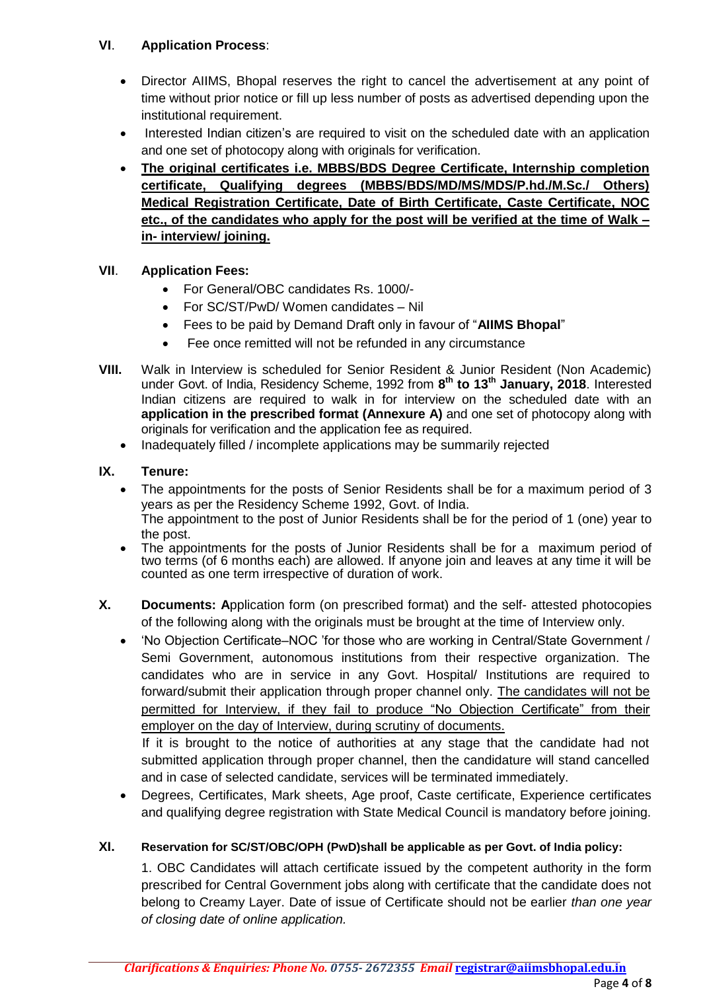## **VI**. **Application Process**:

- Director AIIMS, Bhopal reserves the right to cancel the advertisement at any point of time without prior notice or fill up less number of posts as advertised depending upon the institutional requirement.
- Interested Indian citizen"s are required to visit on the scheduled date with an application and one set of photocopy along with originals for verification.
- **The original certificates i.e. MBBS/BDS Degree Certificate, Internship completion certificate, Qualifying degrees (MBBS/BDS/MD/MS/MDS/P.hd./M.Sc./ Others) Medical Registration Certificate, Date of Birth Certificate, Caste Certificate, NOC etc., of the candidates who apply for the post will be verified at the time of Walk – in- interview/ joining.**

## **VII**. **Application Fees:**

- For General/OBC candidates Rs. 1000/-
- For SC/ST/PwD/ Women candidates Nil
- Fees to be paid by Demand Draft only in favour of "**AIIMS Bhopal**"
- Fee once remitted will not be refunded in any circumstance
- **VIII.** Walk in Interview is scheduled for Senior Resident & Junior Resident (Non Academic) under Govt. of India, Residency Scheme, 1992 from **8 th to 13th January, 2018**. Interested Indian citizens are required to walk in for interview on the scheduled date with an **application in the prescribed format (Annexure A)** and one set of photocopy along with originals for verification and the application fee as required.
	- Inadequately filled / incomplete applications may be summarily rejected

### **IX. Tenure:**

- The appointments for the posts of Senior Residents shall be for a maximum period of 3 years as per the Residency Scheme 1992, Govt. of India. The appointment to the post of Junior Residents shall be for the period of 1 (one) year to the post.
- The appointments for the posts of Junior Residents shall be for a maximum period of two terms (of 6 months each) are allowed. If anyone join and leaves at any time it will be counted as one term irrespective of duration of work.
- **X. Documents: A**pplication form (on prescribed format) and the self- attested photocopies of the following along with the originals must be brought at the time of Interview only.
	- 'No Objection Certificate–NOC 'for those who are working in Central/State Government / Semi Government, autonomous institutions from their respective organization. The candidates who are in service in any Govt. Hospital/ Institutions are required to forward/submit their application through proper channel only. The candidates will not be permitted for Interview, if they fail to produce "No Objection Certificate" from their employer on the day of Interview, during scrutiny of documents.

If it is brought to the notice of authorities at any stage that the candidate had not submitted application through proper channel, then the candidature will stand cancelled and in case of selected candidate, services will be terminated immediately.

 Degrees, Certificates, Mark sheets, Age proof, Caste certificate, Experience certificates and qualifying degree registration with State Medical Council is mandatory before joining.

### **XI. Reservation for SC/ST/OBC/OPH (PwD)shall be applicable as per Govt. of India policy:**

1. OBC Candidates will attach certificate issued by the competent authority in the form prescribed for Central Government jobs along with certificate that the candidate does not belong to Creamy Layer. Date of issue of Certificate should not be earlier *than one year of closing date of online application.*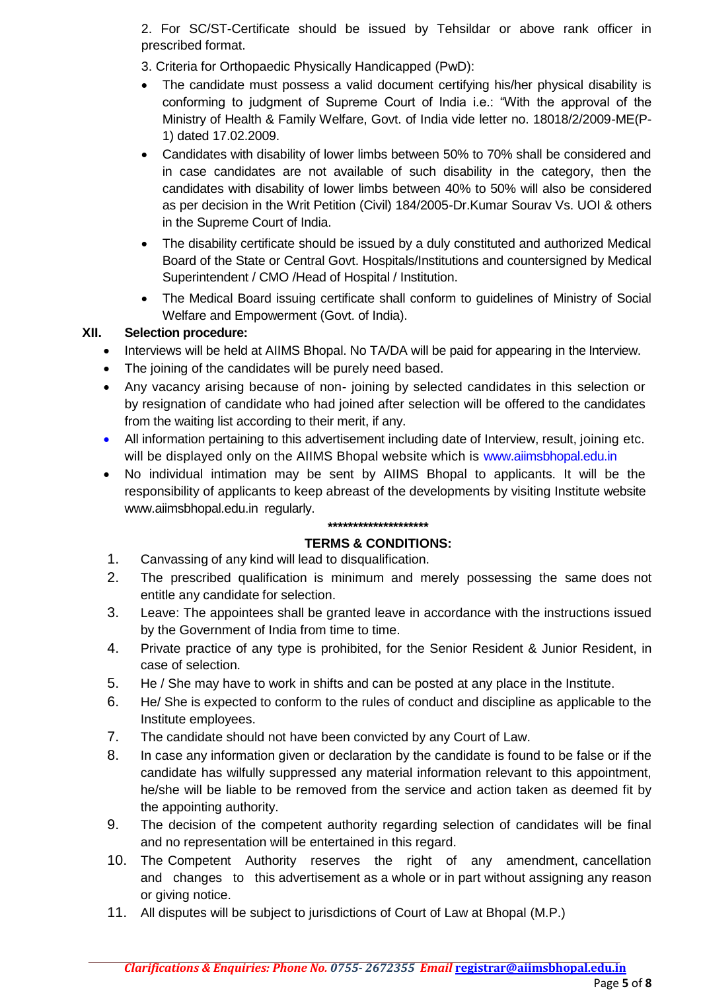2. For SC/ST-Certificate should be issued by Tehsildar or above rank officer in prescribed format.

- 3. Criteria for Orthopaedic Physically Handicapped (PwD):
- The candidate must possess a valid document certifying his/her physical disability is conforming to judgment of Supreme Court of India i.e.: "With the approval of the Ministry of Health & Family Welfare, Govt. of India vide letter no. 18018/2/2009-ME(P-1) dated 17.02.2009.
- Candidates with disability of lower limbs between 50% to 70% shall be considered and in case candidates are not available of such disability in the category, then the candidates with disability of lower limbs between 40% to 50% will also be considered as per decision in the Writ Petition (Civil) 184/2005-Dr.Kumar Sourav Vs. UOI & others in the Supreme Court of India.
- The disability certificate should be issued by a duly constituted and authorized Medical Board of the State or Central Govt. Hospitals/Institutions and countersigned by Medical Superintendent / CMO /Head of Hospital / Institution.
- The Medical Board issuing certificate shall conform to guidelines of Ministry of Social Welfare and Empowerment (Govt. of India).

## **XII. Selection procedure:**

- Interviews will be held at AIIMS Bhopal. No TA/DA will be paid for appearing in the Interview.
- The joining of the candidates will be purely need based.
- Any vacancy arising because of non- joining by selected candidates in this selection or by resignation of candidate who had joined after selection will be offered to the candidates from the waiting list according to their merit, if any.
- All information pertaining to this advertisement including date of Interview, result, joining etc. will be displayed only on the AIIMS Bhopal website which is www.aiimsbhopal.edu.in
- No individual intimation may be sent by AIIMS Bhopal to applicants. It will be the responsibility of applicants to keep abreast of the developments by visiting Institute website www.aiimsbhopal.edu.in regularly.

#### **\*\*\*\*\*\*\*\*\*\*\*\*\*\*\*\*\*\*\*\***

### **TERMS & CONDITIONS:**

- 1. Canvassing of any kind will lead to disqualification.
- 2. The prescribed qualification is minimum and merely possessing the same does not entitle any candidate for selection.
- 3. Leave: The appointees shall be granted leave in accordance with the instructions issued by the Government of India from time to time.
- 4. Private practice of any type is prohibited, for the Senior Resident & Junior Resident, in case of selection.
- 5. He / She may have to work in shifts and can be posted at any place in the Institute.
- 6. He/ She is expected to conform to the rules of conduct and discipline as applicable to the Institute employees.
- 7. The candidate should not have been convicted by any Court of Law.
- 8. In case any information given or declaration by the candidate is found to be false or if the candidate has wilfully suppressed any material information relevant to this appointment, he/she will be liable to be removed from the service and action taken as deemed fit by the appointing authority.
- 9. The decision of the competent authority regarding selection of candidates will be final and no representation will be entertained in this regard.
- 10. The Competent Authority reserves the right of any amendment, cancellation and changes to this advertisement as a whole or in part without assigning any reason or giving notice.
- 11. All disputes will be subject to jurisdictions of Court of Law at Bhopal (M.P.)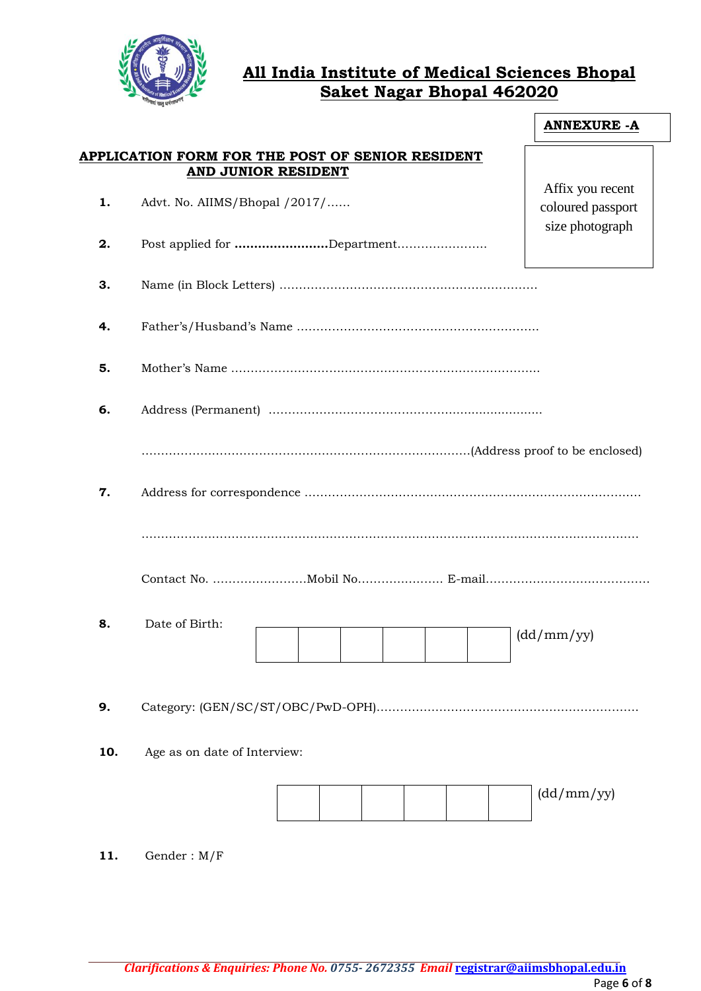

# **All India Institute of Medical Sciences Bhopal Saket Nagar Bhopal 462020**

|     |                                                                         | <b>ANNEXURE - A</b>                   |
|-----|-------------------------------------------------------------------------|---------------------------------------|
|     | APPLICATION FORM FOR THE POST OF SENIOR RESIDENT<br>AND JUNIOR RESIDENT |                                       |
| 1.  | Advt. No. AIIMS/Bhopal /2017/                                           | Affix you recent<br>coloured passport |
| 2.  | Post applied for Department                                             | size photograph                       |
| З.  |                                                                         |                                       |
| 4.  |                                                                         |                                       |
| 5.  |                                                                         |                                       |
| 6.  |                                                                         |                                       |
|     |                                                                         |                                       |
| 7.  |                                                                         |                                       |
|     |                                                                         |                                       |
|     |                                                                         |                                       |
| 8.  | Date of Birth:                                                          | (dd/mm/yy)                            |
| 9.  |                                                                         |                                       |
| 10. | Age as on date of Interview:                                            |                                       |
|     |                                                                         | (dd/mm/yy)                            |
| 11. | Gender: $M/F$                                                           |                                       |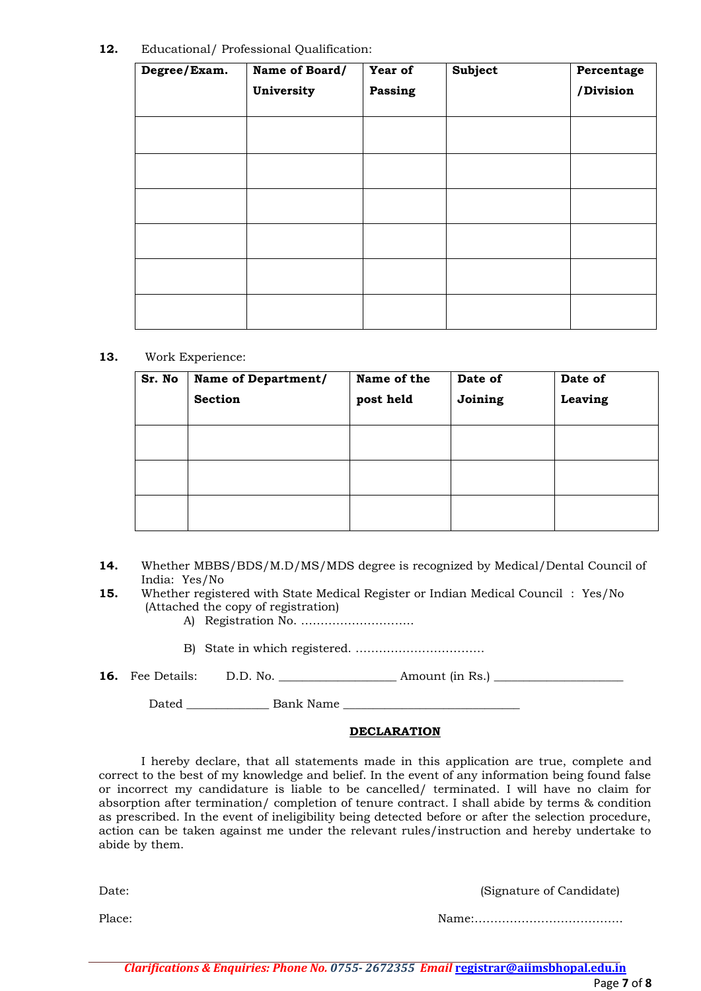#### **12.** Educational/ Professional Qualification:

| Degree/Exam. | Name of Board/<br>University | Year of<br><b>Passing</b> | <b>Subject</b> | Percentage<br>/Division |
|--------------|------------------------------|---------------------------|----------------|-------------------------|
|              |                              |                           |                |                         |
|              |                              |                           |                |                         |
|              |                              |                           |                |                         |
|              |                              |                           |                |                         |
|              |                              |                           |                |                         |
|              |                              |                           |                |                         |
|              |                              |                           |                |                         |

#### **13.** Work Experience:

| Sr. No | Name of Department/<br><b>Section</b> | Name of the<br>post held | Date of<br>Joining | Date of<br>Leaving |
|--------|---------------------------------------|--------------------------|--------------------|--------------------|
|        |                                       |                          |                    |                    |
|        |                                       |                          |                    |                    |
|        |                                       |                          |                    |                    |

- **14.** Whether MBBS/BDS/M.D/MS/MDS degree is recognized by Medical/Dental Council of India: Yes/No
- **15.** Whether registered with State Medical Register or Indian Medical Council : Yes/No (Attached the copy of registration)
	- A) Registration No. ………………………..
	- B) State in which registered. ……………………………

|  | <b>16.</b> Fee Details: | D.D. No. | Amount (in Rs.) |
|--|-------------------------|----------|-----------------|
|--|-------------------------|----------|-----------------|

Dated Bank Name

#### **DECLARATION**

I hereby declare, that all statements made in this application are true, complete and correct to the best of my knowledge and belief. In the event of any information being found false or incorrect my candidature is liable to be cancelled/ terminated. I will have no claim for absorption after termination/ completion of tenure contract. I shall abide by terms & condition as prescribed. In the event of ineligibility being detected before or after the selection procedure, action can be taken against me under the relevant rules/instruction and hereby undertake to abide by them.

Date: (Signature of Candidate)

Place: 2008. 2009. 2009. 2009. 2009. 2009. 2009. 2009. 2009. 2009. 2009. 2009. 2009. 2009. 2009. 2009. 2009. 20